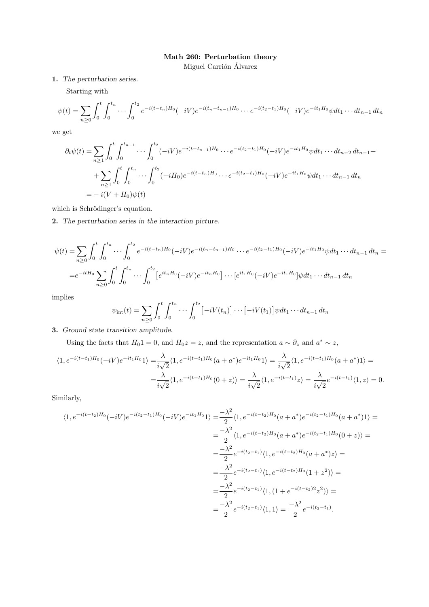## Math 260: Perturbation theory

Miguel Carrión Álvarez

1. The perturbation series.

Starting with

$$
\psi(t) = \sum_{n\geq 0} \int_0^t \int_0^{t_n} \cdots \int_0^{t_2} e^{-i(t-t_n)H_0} (-iV) e^{-i(t_n - t_{n-1})H_0} \cdots e^{-i(t_2 - t_1)H_0} (-iV) e^{-it_1H_0} \psi dt_1 \cdots dt_{n-1} dt_n
$$

we get

$$
\partial_t \psi(t) = \sum_{n\geq 1} \int_0^t \int_0^{t_{n-1}} \cdots \int_0^{t_2} (-iV)e^{-i(t-t_{n-1})H_0} \cdots e^{-i(t_2-t_1)H_0} (-iV)e^{-it_1H_0} \psi dt_1 \cdots dt_{n-2} dt_{n-1} +
$$
  
+ 
$$
\sum_{n\geq 1} \int_0^t \int_0^{t_n} \cdots \int_0^{t_2} (-iH_0)e^{-i(t-t_n)H_0} \cdots e^{-i(t_2-t_1)H_0} (-iV)e^{-it_1H_0} \psi dt_1 \cdots dt_{n-1} dt_n
$$
  
= 
$$
-i(V + H_0)\psi(t)
$$

which is Schrödinger's equation.

2. The perturbation series in the interaction picture.

$$
\psi(t) = \sum_{n\geq 0} \int_0^t \int_0^{t_n} \cdots \int_0^{t_2} e^{-i(t-t_n)H_0} (-iV) e^{-i(t_n-t_{n-1})H_0} \cdots e^{-i(t_2-t_1)H_0} (-iV) e^{-it_1H_0} \psi dt_1 \cdots dt_{n-1} dt_n =
$$
  
\n
$$
= e^{-itH_0} \sum_{n\geq 0} \int_0^t \int_0^{t_n} \cdots \int_0^{t_2} \left[ e^{it_nH_0} (-iV) e^{-it_nH_0} \right] \cdots \left[ e^{it_1H_0} (-iV) e^{-it_1H_0} \right] \psi dt_1 \cdots dt_{n-1} dt_n
$$

implies

$$
\psi_{\rm int}(t) = \sum_{n\geq 0} \int_0^t \int_0^{t_n} \cdots \int_0^{t_2} \left[ -iV(t_n) \right] \cdots \left[ -iV(t_1) \right] \psi dt_1 \cdots dt_{n-1} dt_n
$$

3. Ground state transition amplitude.

Using the facts that  $H_0 1 = 0$ , and  $H_0 z = z$ , and the representation  $a \sim \partial_z$  and  $a^* \sim z$ ,

$$
\langle 1, e^{-i(t-t_1)H_0}(-iV)e^{-it_1H_0}1 \rangle = \frac{\lambda}{i\sqrt{2}} \langle 1, e^{-i(t-t_1)H_0}(a+a^*)e^{-it_1H_0}1 \rangle = \frac{\lambda}{i\sqrt{2}} \langle 1, e^{-i(t-t_1)H_0}(a+a^*)1 \rangle = \frac{\lambda}{i\sqrt{2}} \langle 1, e^{-i(t-t_1)H_0}(0+z) \rangle = \frac{\lambda}{i\sqrt{2}} \langle 1, e^{-i(t-t_1)}z \rangle = \frac{\lambda}{i\sqrt{2}} e^{-i(t-t_1)} \langle 1, z \rangle = 0.
$$

Similarly,

$$
\langle 1, e^{-i(t-t_2)H_0}(-iV)e^{-i(t_2-t_1)H_0}(-iV)e^{-it_1H_0}1 \rangle = \frac{-\lambda^2}{2} \langle 1, e^{-i(t-t_2)H_0}(a+a^*)e^{-i(t_2-t_1)H_0}(a+a^*)1 \rangle =
$$
  
\n
$$
= \frac{-\lambda^2}{2} \langle 1, e^{-i(t-t_2)H_0}(a+a^*)e^{-i(t_2-t_1)H_0}(0+z) \rangle =
$$
  
\n
$$
= \frac{-\lambda^2}{2} e^{-i(t_2-t_1)} \langle 1, e^{-i(t-t_2)H_0}(a+a^*)z \rangle =
$$
  
\n
$$
= \frac{-\lambda^2}{2} e^{-i(t_2-t_1)} \langle 1, e^{-i(t-t_2)H_0}(1+z^2) \rangle =
$$
  
\n
$$
= \frac{-\lambda^2}{2} e^{-i(t_2-t_1)} \langle 1, (1+e^{-i(t-t_2)H_0}z^2) \rangle =
$$
  
\n
$$
= \frac{-\lambda^2}{2} e^{-i(t_2-t_1)} \langle 1, 1 \rangle = \frac{-\lambda^2}{2} e^{-i(t_2-t_1)}.
$$